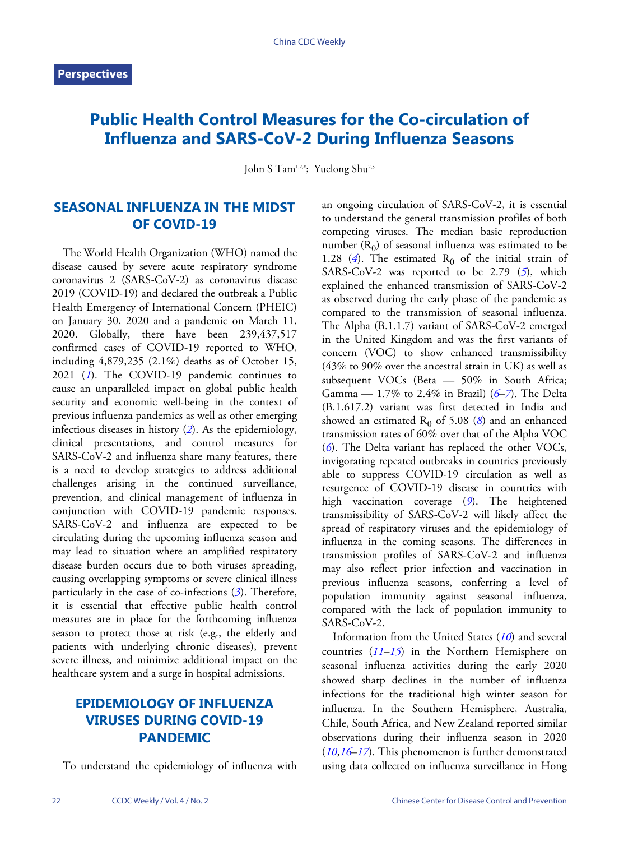# **Public Health Control Measures for the Co-circulation of Influenza and SARS-CoV-2 During Influenza Seasons**

John S Tam<sup>1,2,#</sup>; Yuelong Shu<sup>2,3</sup>

### **SEASONAL INFLUENZA IN THE MIDST OF COVID-19**

The World Health Organization (WHO) named the disease caused by severe acute respiratory syndrome coronavirus 2 (SARS-CoV-2) as coronavirus disease 2019 (COVID-19) and declared the outbreak a Public Health Emergency of International Concern (PHEIC) on January 30, 2020 and a pandemic on March 11, 2020. Globally, there have been 239,437,517 confirmed cases of COVID-19 reported to WHO, including 4,879,235 (2.1%) deaths as of October 15, 202[1](#page-3-0) (1). The COVID-19 pandemic continues to cause an unparalleled impact on global public health security and economic well-being in the context of previous influenza pandemics as well as other emerging infectious diseases in history (*[2](#page-3-1)*). As the epidemiology, clinical presentations, and control measures for SARS-CoV-2 and influenza share many features, there is a need to develop strategies to address additional challenges arising in the continued surveillance, prevention, and clinical management of influenza in conjunction with COVID-19 pandemic responses. SARS-CoV-2 and influenza are expected to be circulating during the upcoming influenza season and may lead to situation where an amplified respiratory disease burden occurs due to both viruses spreading, causing overlapping symptoms or severe [cl](#page-3-2)inical illness particularly in the case of co-infections (*[3](#page-3-2)*). Therefore, it is essential that effective public health control measures are in place for the forthcoming influenza season to protect those at risk (e.g., the elderly and patients with underlying chronic diseases), prevent severe illness, and minimize additional impact on the healthcare system and a surge in hospital admissions.

## **EPIDEMIOLOGY OF INFLUENZA VIRUSES DURING COVID-19 PANDEMIC**

To understand the epidemiology of influenza with

an ongoing circulation of SARS-CoV-2, it is essential to understand the general transmission profiles of both competing viruses. The median basic reproduction number  $(R_0)$  of seasonal influenza was estimated to be 1.28  $(4)$  $(4)$  $(4)$ . The estimated R<sub>0</sub> of the initial strain of SARS-CoV-2 was reported to be 2.79 ([5](#page-3-4)), which explained the enhanced transmission of SARS-CoV-2 as observed during the early phase of the pandemic as compared to the transmission of seasonal influenza. The Alpha (B.1.1.7) variant of SARS-CoV-2 emerged in the United Kingdom and was the first variants of concern (VOC) to show enhanced transmissibility (43% to 90% over the ancestral strain in UK) as well as subsequent VOCs (Beta - 50% in South Africa; Gamma — 1.7% to 2.4% in Brazil) (*[6](#page-3-5)*–*[7](#page-3-6)*). The Delta (B.1.617.2) variant was first detected in India and showed an estimated  $R_0$  of 5.0[8](#page-3-7) (*8*) and an enhanced t[ra](#page-3-5)nsmission rates of 60% over that of the Alpha VOC (*[6](#page-3-5)*). The Delta variant has replaced the other VOCs, invigorating repeated outbreaks in countries previously able to suppress COVID-19 circulation as well as resurgence of COVID-19 dise[as](#page-3-8)e in countries with high vaccination coverage (*[9](#page-3-8)*). The heightened transmissibility of SARS-CoV-2 will likely affect the spread of respiratory viruses and the epidemiology of influenza in the coming seasons. The differences in transmission profiles of SARS-CoV-2 and influenza may also reflect prior infection and vaccination in previous influenza seasons, conferring a level of population immunity against seasonal influenza, compared with the lack of population immunity to SARS-CoV-2.

Informa[tion](#page-4-0) [fro](#page-4-1)m the United States (*[10](#page-3-9)*) and several countries (*[11](#page-4-0)*–*[15](#page-4-1)*) in the Northern Hemisphere on seasonal influenza activities during the early 2020 showed sharp declines in the number of influenza infections for the traditional high winter season for influenza. In the Southern Hemisphere, Australia, Chile, South Africa, and New Zealand reported similar [obs](#page-3-9)[erva](#page-4-2)[tion](#page-4-3)s during their influenza season in 2020 (*[10](#page-3-9)*,*[16](#page-4-2)*–*[17](#page-4-3)*). This phenomenon is further demonstrated using data collected on influenza surveillance in Hong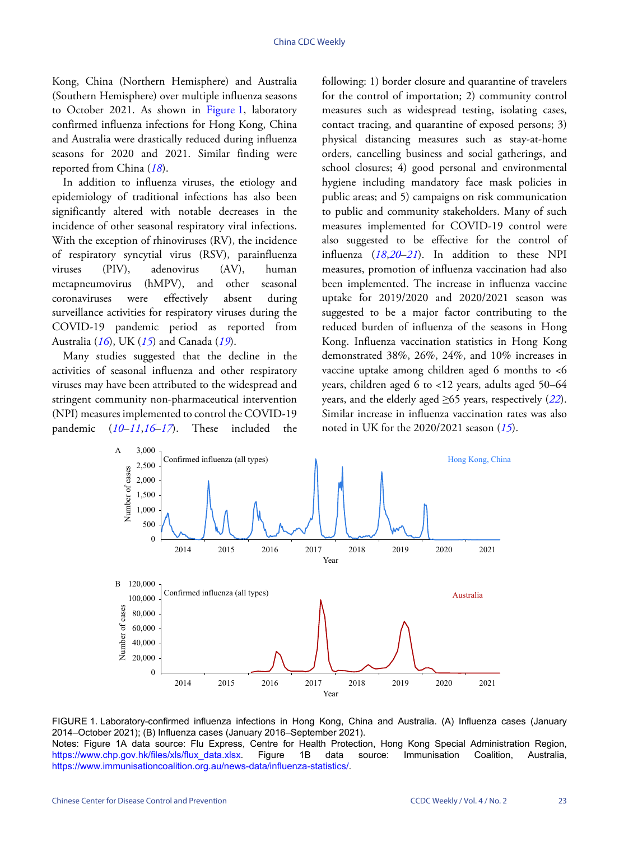Kong, China (Northern Hemisphere) and Australia (Southern Hemisphere) over multiple influenza seasons to October 2021. As shown in [Figure 1](#page-1-0), laboratory confirmed influenza infections for Hong Kong, China and Australia were drastically reduced during influenza seasons for 2020 and 2021. Similar finding were reported from China (*[18](#page-4-4)*).

In addition to influenza viruses, the etiology and epidemiology of traditional infections has also been significantly altered with notable decreases in the incidence of other seasonal respiratory viral infections. With the exception of rhinoviruses (RV), the incidence of respiratory syncytial virus (RSV), parainfluenza viruses (PIV), adenovirus (AV), human metapneumovirus (hMPV), and other seasonal coronaviruses were effectively absent during surveillance activities for respiratory viruses during the COVID-[19](#page-4-2) pand[emi](#page-4-1)c period as [r](#page-4-5)eported from Australia (*[16](#page-4-2)*), UK (*[15](#page-4-1)*) and Canada (*[19](#page-4-5)*).

Many studies suggested that the decline in the activities of seasonal influenza and other respiratory viruses may have been attributed to the widespread and stringent community non-pharmaceutical intervention (NPI) measur[es i](#page-3-9)[mpl](#page-4-0)[em](#page-4-2)e[nte](#page-4-3)d to control the COVID-19 pandemic (*[10](#page-3-9)*–*[11](#page-4-0)*,*[16](#page-4-2)*–*[17](#page-4-3)*). These included the following: 1) border closure and quarantine of travelers for the control of importation; 2) community control measures such as widespread testing, isolating cases, contact tracing, and quarantine of exposed persons; 3) physical distancing measures such as stay-at-home orders, cancelling business and social gatherings, and school closures; 4) good personal and environmental hygiene including mandatory face mask policies in public areas; and 5) campaigns on risk communication to public and community stakeholders. Many of such measures implemented for COVID-19 control were also suggested to be effective for the control of influenza (*[18](#page-4-4)*,*[20](#page-4-6)*–*[21](#page-4-7)*). In addition to these NPI measures, promotion of influenza vaccination had also been implemented. The increase in influenza vaccine uptake for 2019/2020 and 2020/2021 season was suggested to be a major factor contributing to the reduced burden of influenza of the seasons in Hong Kong. Influenza vaccination statistics in Hong Kong demonstrated 38%, 26%, 24%, and 10% increases in vaccine uptake among children aged  $6$  months to  $<6$ years, children aged 6 to <12 years, adults aged 5[0–6](#page-4-8)4 years, and the elderly aged ≥65 years, respectively (*[22](#page-4-8)*). Similar increase in influenza vaccinatio[n ra](#page-4-1)tes was also noted in UK for the 2020/2021 season (*[15](#page-4-1)*).

<span id="page-1-0"></span>



Notes: Figure 1A data source: Flu Express, Centre for Health Protection, Hong Kong Special Administration Region, [https://www.chp.gov.hk/files/xls/flux\\_data.xlsx](https://www.chp.gov.hk/files/xls/flux_data.xlsx). Figure 1B data source: Immunisation Coalition, Australia, <https://www.immunisationcoalition.org.au/news-data/influenza-statistics/>.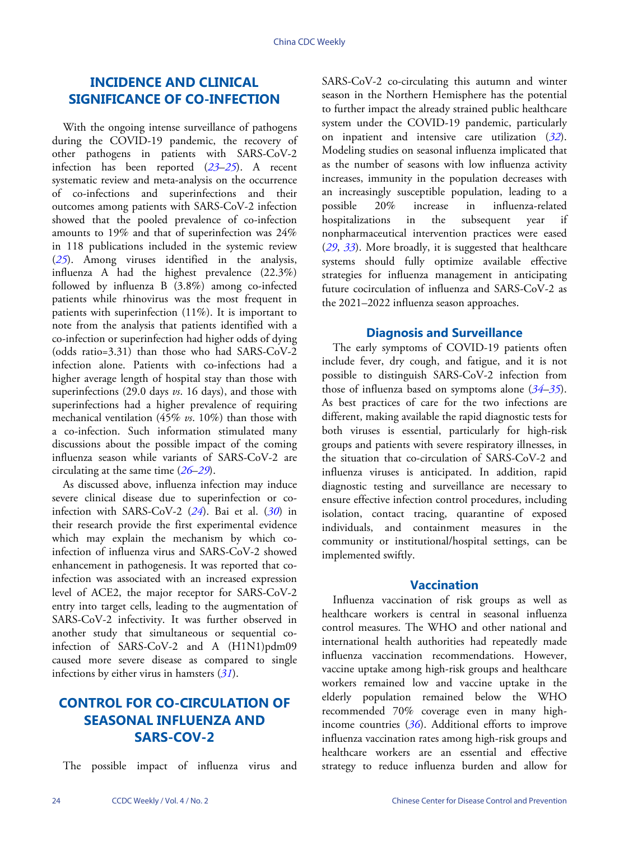### **INCIDENCE AND CLINICAL SIGNIFICANCE OF CO-INFECTION**

With the ongoing intense surveillance of pathogens during the COVID-19 pandemic, the recovery of other pathogens in patients with SARS-CoV-2 infection has been reported (*[23](#page-4-9)*–*[25](#page-4-10)*). A recent systematic review and meta-analysis on the occurrence of co-infections and superinfections and their outcomes among patients with SARS-CoV-2 infection showed that the pooled prevalence of co-infection amounts to 19% and that of superinfection was 24% in 118 publications included in the systemic review (*[25](#page-4-10)*). Among viruses identified in the analysis, influenza A had the highest prevalence (22.3%) followed by influenza B  $(3.8%)$  among co-infected patients while rhinovirus was the most frequent in patients with superinfection (11%). It is important to note from the analysis that patients identified with a co-infection or superinfection had higher odds of dying (odds ratio=3.31) than those who had SARS-CoV-2 infection alone. Patients with co-infections had a higher average length of hospital stay than those with superinfections (29.0 days *vs*. 16 days), and those with superinfections had a higher prevalence of requiring mechanical ventilation (45% *vs*. 10%) than those with a co-infection. Such information stimulated many discussions about the possible impact of the coming influenza season while variants of SARS-CoV-2 are circulating at the same time (*[26](#page-4-11)*–*[29](#page-4-12)*).

As discussed above, influenza infection may induce severe clinical disease due to superinfection or coinfection with SARS-CoV-2 (*[24](#page-4-13)*). Bai et al. (*[30](#page-4-14)*) in their research provide the first experimental evidence which may explain the mechanism by which coinfection of influenza virus and SARS-CoV-2 showed enhancement in pathogenesis. It was reported that coinfection was associated with an increased expression level of ACE2, the major receptor for SARS-CoV-2 entry into target cells, leading to the augmentation of SARS-CoV-2 infectivity. It was further observed in another study that simultaneous or sequential coinfection of SARS-CoV-2 and A (H1N1)pdm09 caused more severe disease as co[mpa](#page-4-15)red to single infections by either virus in hamsters (*[31](#page-4-15)*).

### **CONTROL FOR CO-CIRCULATION OF SEASONAL INFLUENZA AND SARS-COV-2**

The possible impact of influenza virus and

SARS-CoV-2 co-circulating this autumn and winter season in the Northern Hemisphere has the potential to further impact the already strained public healthcare system under the COVID-19 pandemic, particularly on inpatient and intensive care utilization (*[32](#page-4-16)*). Modeling studies on seasonal influenza implicated that as the number of seasons with low influenza activity increases, immunity in the population decreases with an increasingly susceptible population, leading to a possible 20% increase in influenza-related hospitalizations in the subsequent year if nonpharmaceutical intervention practices were eased (*[29](#page-4-12)*, *[33](#page-4-17)*). More broadly, it is suggested that healthcare systems should fully optimize available effective strategies for influenza management in anticipating future cocirculation of influenza and SARS-CoV-2 as the 2021–2022 influenza season approaches.

#### **Diagnosis and Surveillance**

The early symptoms of COVID-19 patients often include fever, dry cough, and fatigue, and it is not possible to distinguish SARS-CoV-2 infecti[on](#page-4-18)f[rom](#page-4-19) those of influenza based on symptoms alone (*[34](#page-4-18)*–*[35](#page-4-19)*). As best practices of care for the two infections are different, making available the rapid diagnostic tests for both viruses is essential, particularly for high-risk groups and patients with severe respiratory illnesses, in the situation that co-circulation of SARS-CoV-2 and influenza viruses is anticipated. In addition, rapid diagnostic testing and surveillance are necessary to ensure effective infection control procedures, including isolation, contact tracing, quarantine of exposed individuals, and containment measures in the community or institutional/hospital settings, can be implemented swiftly.

#### **Vaccination**

Influenza vaccination of risk groups as well as healthcare workers is central in seasonal influenza control measures. The WHO and other national and international health authorities had repeatedly made influenza vaccination recommendations. However, vaccine uptake among high-risk groups and healthcare workers remained low and vaccine uptake in the elderly population remained below the WHO recommended 70[%](#page-4-20) coverage even in many highincome countries (*[36](#page-4-20)*). Additional efforts to improve influenza vaccination rates among high-risk groups and healthcare workers are an essential and effective strategy to reduce influenza burden and allow for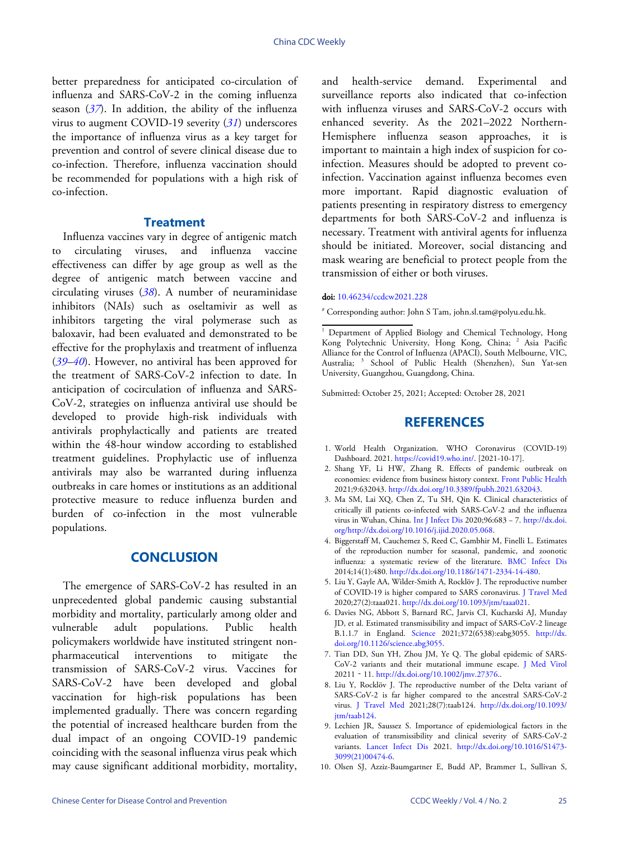better preparedness for anticipated co-circulation of influenza and SARS-CoV-2 in the coming influenza season (*[37](#page-4-21)*). In addition, the ability of the influenza virus to augment COVID-19 severity (*[31](#page-4-15)*) underscores the importance of influenza virus as a key target for prevention and control of severe clinical disease due to co-infection. Therefore, influenza vaccination should be recommended for populations with a high risk of co-infection.

#### **Treatment**

Influenza vaccines vary in degree of antigenic match to circulating viruses, and influenza vaccine effectiveness can differ by age group as well as the degree of antigenic match between vaccine and circulating viruses (*[38](#page-4-22)*). A number of neuraminidase inhibitors (NAIs) such as oseltamivir as well as inhibitors targeting the viral polymerase such as baloxavir, had been evaluated and demonstrated to be [effe](#page-4-23)c[tive](#page-4-24) for the prophylaxis and treatment of influenza (*[39](#page-4-23)*–*[40](#page-4-24)*). However, no antiviral has been approved for the treatment of SARS-CoV-2 infection to date. In anticipation of cocirculation of influenza and SARS-CoV-2, strategies on influenza antiviral use should be developed to provide high-risk individuals with antivirals prophylactically and patients are treated within the 48-hour window according to established treatment guidelines. Prophylactic use of influenza antivirals may also be warranted during influenza outbreaks in care homes or institutions as an additional protective measure to reduce influenza burden and burden of co-infection in the most vulnerable populations.

### **CONCLUSION**

The emergence of SARS-CoV-2 has resulted in an unprecedented global pandemic causing substantial morbidity and mortality, particularly among older and vulnerable adult populations. Public health policymakers worldwide have instituted stringent nonpharmaceutical interventions to mitigate the transmission of SARS-CoV-2 virus. Vaccines for SARS-CoV-2 have been developed and global vaccination for high-risk populations has been implemented gradually. There was concern regarding the potential of increased healthcare burden from the dual impact of an ongoing COVID-19 pandemic coinciding with the seasonal influenza virus peak which may cause significant additional morbidity, mortality,

and health-service demand. Experimental and surveillance reports also indicated that co-infection with influenza viruses and SARS-CoV-2 occurs with enhanced severity. As the 2021–2022 Northern-Hemisphere influenza season approaches, it is important to maintain a high index of suspicion for coinfection. Measures should be adopted to prevent coinfection. Vaccination against influenza becomes even more important. Rapid diagnostic evaluation of patients presenting in respiratory distress to emergency departments for both SARS-CoV-2 and influenza is necessary. Treatment with antiviral agents for influenza should be initiated. Moreover, social distancing and mask wearing are beneficial to protect people from the transmission of either or both viruses.

#### doi: [10.46234/ccdcw2021.228](https://doi.org/10.46234/ccdcw2021.228)

# Corresponding author: John S Tam, john.sl.tam@polyu.edu.hk.

Submitted: October 25, 2021; Accepted: October 28, 2021

#### **REFERENCES**

- <span id="page-3-0"></span>1. World Health Organization. WHO Coronavirus (COVID-19) Dashboard. 2021. [https://covid19.who.int/.](https://covid19.who.int/) [2021-10-17].
- <span id="page-3-1"></span>2. Shang YF, Li HW, Zhang R. Effects of pandemic outbreak on economies: evidence from business history context. [Front Public Health](https://doi.org/10.3389/fpubh.2021.632043) 2021;9:632043. [http://dx.doi.org/10.3389/fpubh.2021.632043](https://doi.org/10.3389/fpubh.2021.632043).
- <span id="page-3-2"></span>3. Ma SM, Lai XQ, Chen Z, Tu SH, Qin K. Clinical characteristics of critically ill patients co-infected with SARS-CoV-2 and the influenza virus in Wuhan, China. [Int J Infect Dis](https://doi.org/http://dx.doi.org/10.1016/j.ijid.2020.05.068) 2020;96:683 − 7. [http://dx.doi.](https://doi.org/http://dx.doi.org/10.1016/j.ijid.2020.05.068) [org/http://dx.doi.org/10.1016/j.ijid.2020.05.068.](https://doi.org/http://dx.doi.org/10.1016/j.ijid.2020.05.068)
- <span id="page-3-3"></span>4. Biggerstaff M, Cauchemez S, Reed C, Gambhir M, Finelli L. Estimates of the reproduction number for seasonal, pandemic, and zoonotic influenza: a systematic review of the literature. [BMC Infect D](https://doi.org/10.1186/1471-2334-14-480)is 2014;14(1):480. [http://dx.doi.org/10.1186/1471-2334-14-480.](https://doi.org/10.1186/1471-2334-14-480)
- <span id="page-3-4"></span>5. Liu Y, Gayle AA, Wilder-Smith A, Rocklöv J. The reproductive number of COVID-19 is higher compared to SARS coronavirus. [J Travel Med](https://doi.org/10.1093/jtm/taaa021) 2020;27(2):taaa021. [http://dx.doi.org/10.1093/jtm/taaa021.](https://doi.org/10.1093/jtm/taaa021)
- <span id="page-3-5"></span>6. Davies NG, Abbott S, Barnard RC, Jarvis CI, Kucharski AJ, Munday JD, et al. Estimated transmissibility and impact of SARS-CoV-2 lineage B.1.1.7 in England. [Science](https://doi.org/10.1126/science.abg3055) 2021;372(6538):eabg3055. [http://dx.](https://doi.org/10.1126/science.abg3055) [doi.org/10.1126/science.abg3055](https://doi.org/10.1126/science.abg3055).
- <span id="page-3-6"></span>7. Tian DD, Sun YH, Zhou JM, Ye Q. The global epidemic of SARS-CoV-2 variants and their mutational immune escape. [J Med Viro](https://doi.org/10.1002/jmv.27376.)l 20211‐11. [http://dx.doi.org/10.1002/jmv.27376..](https://doi.org/10.1002/jmv.27376.)
- <span id="page-3-7"></span>8. Liu Y, Rocklöv J. The reproductive number of the Delta variant of SARS-CoV-2 is far higher compared to the ancestral SARS-CoV-2 virus. [J Travel Me](https://doi.org/10.1093/jtm/taab124)d 2021;28(7):taab124. [http://dx.doi.org/10.1093/](https://doi.org/10.1093/jtm/taab124) [jtm/taab124.](https://doi.org/10.1093/jtm/taab124)
- <span id="page-3-8"></span>9. Lechien JR, Saussez S. Importance of epidemiological factors in the evaluation of transmissibility and clinical severity of SARS-CoV-2 variants. [Lancet Infect D](https://doi.org/10.1016/S1473-3099(21)00474-6)is 2021. [http://dx.doi.org/10.1016/S1473-](https://doi.org/10.1016/S1473-3099(21)00474-6) [3099\(21\)00474-6](https://doi.org/10.1016/S1473-3099(21)00474-6).
- <span id="page-3-9"></span>10. Olsen SJ, Azziz-Baumgartner E, Budd AP, Brammer L, Sullivan S,

<sup>&</sup>lt;sup>1</sup> Department of Applied Biology and Chemical Technology, Hong Kong Polytechnic University, Hong Kong, China; <sup>2</sup> Asia Pacific Alliance for the Control of Influenza (APACI), South Melbourne, VIC, Australia; <sup>3</sup> School of Public Health (Shenzhen), Sun Yat-sen University, Guangzhou, Guangdong, China.